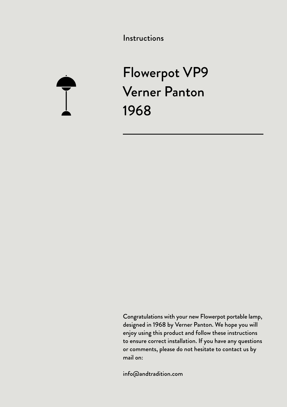Instructions



Flowerpot VP9 Verner Panton 1968

Congratulations with your new Flowerpot portable lamp, designed in 1968 by Verner Panton. We hope you will enjoy using this product and follow these instructions to ensure correct installation. If you have any questions or comments, please do not hesitate to contact us by mail on:

info@andtradition.com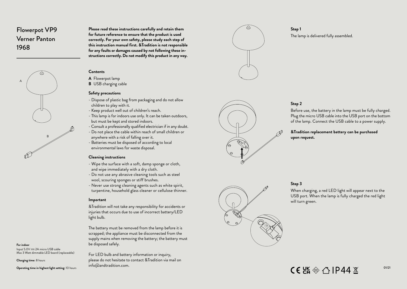# Flowerpot VP9 Verner Panton 1968



**Please read these instructions carefully and retain them for future reference to ensure that the product is used correctly. For your own safety, please study each step of this instruction manual first. &Tradition is not responsible for any faults or damages caused by not following these in structions correctly. Do not modify this product in any way.**

### **Contents**

**A** Flowerpot lamp

**B** USB charging cable

#### **Safety precautions**

- Dispose of plastic bag from packaging and do not allow children to play with it.
- Keep product well out of children's reach.
- This lamp is for indoors use only. It can be taken outdoors, but must be kept and stored indoors.
- Consult a professionally qualified electrician if in any doubt.
- Do not place the cable within reach of small children or anywhere with a risk of falling over it.
- Batteries must be disposed of according to local environmental laws for waste disposal.

#### **Cleaning instructions**

- Wipe the surface with a soft, damp sponge or cloth, and wipe immediately with a dry cloth.
- Do not use any abrasive cleaning tools such as steel wool, scouring sponges or stiff brushes.
- Never use strong cleaning agents such as white spirit, turpentine, household glass cleaner or cellulose thinner.

#### **Important**

&Tradition will not take any responsibility for accidents or injuries that occurs due to use of incorrect battery/LED light bulb.

The battery must be removed from the lamp before it is scrapped; the appliance must be disconnected from the supply mains when removing the battery; the battery must be disposed safely.

For LED bulb and battery information or inquiry, please do not hesitate to contact &Tradition via mail on info@andtradition.com.



#### **Step 1**

The lamp is delivered fully assembled.

# **Step 2**

Before use, the battery in the lamp must be fully charged. Plug the micro USB cable into the USB port on the bottom of the lamp. Connect the USB cable to a power supply.

#### **&Tradition replacement battery can be purchased upon request.**



# **Step 3**

When charging, a red LED light will appear next to the USB port. When the lamp is fully charged the red light will turn green.

#### **For indoor**

 $Input 5.0V == 2A micro USB cable$ Max 3 Watt dimmable LED board (replaceable)

**Charging time:** 8 hours

**Operating time in highest light setting:** 10 hours

 $CE$   $\frac{18}{10}$   $\frac{10}{10}$   $\frac{10}{10}$   $\frac{10}{10}$   $\frac{10}{10}$